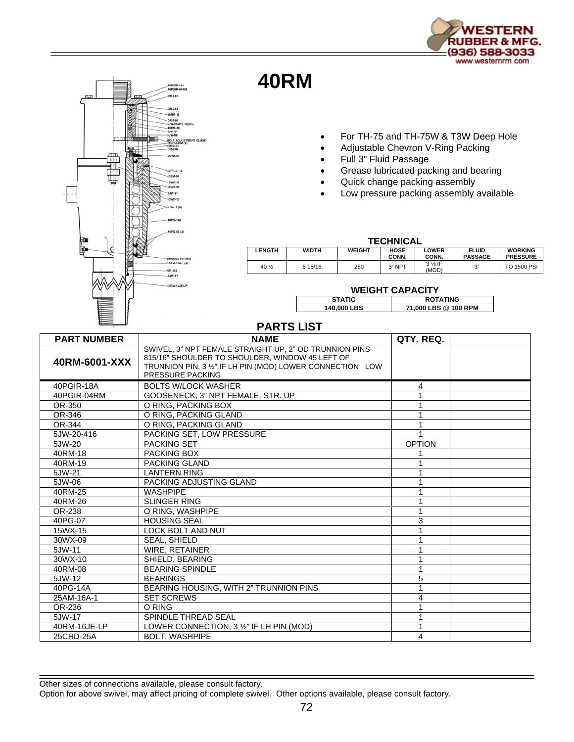

## **40RM**

OR-346<br>5JW-20 SJW-21 BOLT ADJUST<br>25CHD-25A (4)

PG-07 (2) **PM-08** SWX-15 wx.co 5JW-11 30WX-10 JW-12 (5)

G-07 (2)

SREASE FITTING<br>25AM-16A-1 (4) OR-236<br>-SJW-17 ORM-16JE-LP

- For TH-75 and TH-75W & T3W Deep Hole
- Adjustable Chevron V-Ring Packing
- Full 3" Fluid Passage
- Grease lubricated packing and bearing
- Quick change packing assembly
- Low pressure packing assembly available

| <b>TECHNICAL</b> |              |               |                      |                 |                                |                                   |  |  |  |
|------------------|--------------|---------------|----------------------|-----------------|--------------------------------|-----------------------------------|--|--|--|
| LENGTH           | <b>WIDTH</b> | <b>WEIGHT</b> | <b>HOSE</b><br>CONN. | LOWER<br>CONN.  | <b>FLUID</b><br><b>PASSAGE</b> | <b>WORKING</b><br><b>PRESSURE</b> |  |  |  |
| 40 1/2           | 8 15/16      | 280           | $3"$ NPT             | 3 % IF<br>(MOD) | ري-                            | <b>TO 1500 PSI</b>                |  |  |  |

## **WEIGHT CAPACITY**

| .             |                      |  |  |  |  |
|---------------|----------------------|--|--|--|--|
| <b>STATIC</b> | <b>ROTATING</b>      |  |  |  |  |
| 140,000 LBS   | 71,000 LBS @ 100 RPM |  |  |  |  |

## **PARTS LIST**

| <b>PART NUMBER</b> | <b>NAME</b>                                                                                                                                                                                       | QTY. REQ.     |  |
|--------------------|---------------------------------------------------------------------------------------------------------------------------------------------------------------------------------------------------|---------------|--|
| 40RM-6001-XXX      | SWIVEL, 3" NPT FEMALE STRAIGHT UP, 2" OD TRUNNION PINS<br>815/16" SHOULDER TO SHOULDER, WINDOW 45 LEFT OF<br>TRUNNION PIN, 3 1/2" IF LH PIN (MOD) LOWER CONNECTION LOW<br><b>PRESSURE PACKING</b> |               |  |
| 40PGIR-18A         | <b>BOLTS W/LOCK WASHER</b>                                                                                                                                                                        | 4             |  |
| 40PGIR-04RM        | GOOSENECK, 3" NPT FEMALE, STR. UP                                                                                                                                                                 |               |  |
| OR-350             | O RING. PACKING BOX                                                                                                                                                                               |               |  |
| OR-346             | O RING, PACKING GLAND                                                                                                                                                                             |               |  |
| OR-344             | O RING, PACKING GLAND                                                                                                                                                                             |               |  |
| 5JW-20-416         | PACKING SET. LOW PRESSURE                                                                                                                                                                         |               |  |
| 5JW-20             | <b>PACKING SET</b>                                                                                                                                                                                | <b>OPTION</b> |  |
| 40RM-18            | PACKING BOX                                                                                                                                                                                       |               |  |
| 40RM-19            | <b>PACKING GLAND</b>                                                                                                                                                                              |               |  |
| 5JW-21             | <b>LANTERN RING</b>                                                                                                                                                                               |               |  |
| 5JW-06             | PACKING ADJUSTING GLAND                                                                                                                                                                           |               |  |
| 40RM-25            | <b>WASHPIPE</b>                                                                                                                                                                                   |               |  |
| 40RM-26            | <b>SLINGER RING</b>                                                                                                                                                                               |               |  |
| OR-238             | O RING. WASHPIPE                                                                                                                                                                                  |               |  |
| 40PG-07            | <b>HOUSING SEAL</b>                                                                                                                                                                               | 3             |  |
| 15WX-15            | <b>LOCK BOLT AND NUT</b>                                                                                                                                                                          |               |  |
| 30WX-09            | <b>SEAL, SHIELD</b>                                                                                                                                                                               |               |  |
| 5JW-11             | WIRE, RETAINER                                                                                                                                                                                    |               |  |
| 30WX-10            | SHIELD, BEARING                                                                                                                                                                                   |               |  |
| 40RM-08            | <b>BEARING SPINDLE</b>                                                                                                                                                                            |               |  |
| 5JW-12             | <b>BEARINGS</b>                                                                                                                                                                                   | 5             |  |
| 40PG-14A           | BEARING HOUSING, WITH 2" TRUNNION PINS                                                                                                                                                            |               |  |
| 25AM-16A-1         | <b>SET SCREWS</b>                                                                                                                                                                                 | 4             |  |
| OR-236             | O RING                                                                                                                                                                                            |               |  |
| 5JW-17             | <b>SPINDLE THREAD SEAL</b>                                                                                                                                                                        |               |  |
| 40RM-16JE-LP       | LOWER CONNECTION, 3 1/2" IF LH PIN (MOD)                                                                                                                                                          |               |  |
| 25CHD-25A          | <b>BOLT, WASHPIPE</b>                                                                                                                                                                             | 4             |  |

Other sizes of connections available, please consult factory.

Option for above swivel, may affect pricing of complete swivel. Other options available, please consult factory.